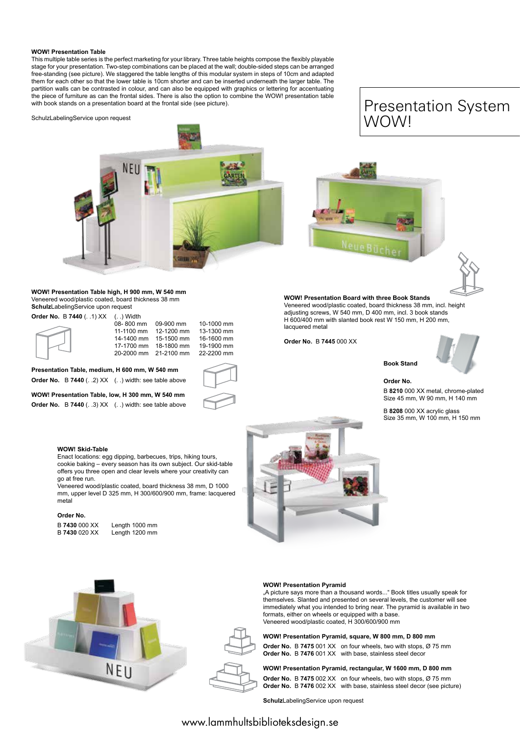### **WOW! Presentation Table**

This multiple table series is the perfect marketing for your library. Three table heights compose the flexibly playable stage for your presentation. Two-step combinations can be placed at the wall; double-sided steps can be arranged free-standing (see picture). We staggered the table lengths of this modular system in steps of 10cm and adapted them for each other so that the lower table is 10cm shorter and can be inserted underneath the larger table. The partition walls can be contrasted in colour, and can also be equipped with graphics or lettering for accentuating the piece of furniture as can the frontal sides. There is also the option to combine the WOW! presentation table with book stands on a presentation board at the frontal side (see picture).

SchulzLabelingService upon request



**WOW! Presentation Table high, H 900 mm, W 540 mm** Veneered wood/plastic coated, board thickness 38 mm **Schulz**LabelingService upon request

**Order No.** B **7440** (. .1) XX (. .) Width

|  | 08-800 mm  | 09-900 mm             | 10-1000 mm |
|--|------------|-----------------------|------------|
|  | 11-1100 mm | 12-1200 mm            | 13-1300 mm |
|  |            | 14-1400 mm 15-1500 mm | 16-1600 mm |
|  | 17-1700 mm | 18-1800 mm            | 19-1900 mm |
|  |            | 20-2000 mm 21-2100 mm | 22-2200 mm |
|  |            |                       |            |

**Presentation Table, medium, H 600 mm, W 540 mm Order No.** B **7440** (. .2) XX (. .) width: see table above

**WOW! Presentation Table, low, H 300 mm, W 540 mm Order No.** B **7440** (. .3) XX (. .) width: see table above

# Presentation System<br>WOWL WOW! Presentation System WOW!





**WOW! Presentation Board with three Book Stands** Veneered wood/plastic coated, board thickness 38 mm, incl. height adjusting screws, W 540 mm, D 400 mm, incl. 3 book stands H 600/400 mm with slanted book rest W 150 mm, H 200 mm, lacquered metal

**Order No.** B **7445** 000 XX



**Order No.**

**Book Stand** 

B **8210** 000 XX metal, chrome-plated Size 45 mm, W 90 mm, H 140 mm

B **8208** 000 XX acrylic glass Size 35 mm, W 100 mm, H 150 mm

#### **WOW! Skid-Table**

Enact locations: egg dipping, barbecues, trips, hiking tours, cookie baking – every season has its own subject. Our skid-table offers you three open and clear levels where your creativity can go at free run.

Veneered wood/plastic coated, board thickness 38 mm, D 1000 mm, upper level D 325 mm, H 300/600/900 mm, frame: lacquered metal

#### **Order No.**

B **7430** 000 XX Length 1000 mm<br>B **7430** 020 XX Length 1200 mm **Length 1200 mm** 





### **WOW! Presentation Pyramid**

"A picture says more than a thousand words..." Book titles usually speak for themselves. Slanted and presented on several levels, the customer will see immediately what you intended to bring near. The pyramid is available in two formats, either on wheels or equipped with a base. Veneered wood/plastic coated, H 300/600/900 mm

**WOW! Presentation Pyramid, square, W 800 mm, D 800 mm**

**Order No.** B **7475** 001 XX on four wheels, two with stops, Ø 75 mm **Order No.** B **7476** 001 XX with base, stainless steel decor

**WOW! Presentation Pyramid, rectangular, W 1600 mm, D 800 mm Order No.** B **7475** 002 XX on four wheels, two with stops, Ø 75 mm **Order No.** B **7476** 002 XX with base, stainless steel decor (see picture)

**Schulz**LabelingService upon request

## www.lammhultsbiblioteksdesign.se